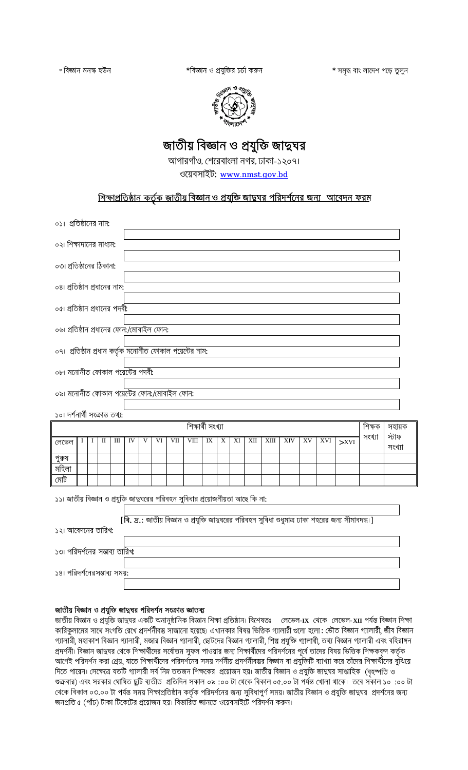\*বিজ্ঞান ও প্রযুক্তির চর্চা করুন

\* সমৃদ্ধ বাং লাদেশ গড়ে তুলুন



# জাতীয় বিজ্ঞান ও প্রযুক্তি জাদ্বঘর

আগারগাঁও, শেরেবাংলা নগর, ঢাকা-১২০৭।

ওয়েবসাইট: [www.nmst.gov.bd](http://www.nmst.gov.bd/)

## <u>শিক্ষাপ্রতিষ্ঠান কর্তৃক জাতীয় বিজ্ঞান ও প্রযুক্তি জাদ্বঘর পরিদর্শনের জন্য আবেদন ফরম</u>

| ০১। প্রতিষ্ঠানের নাম:                                                           |   |   |              |   |    |   |    |     |      |             |   |    |     |      |     |    |     |                                                                                                                                                       |        |                 |  |
|---------------------------------------------------------------------------------|---|---|--------------|---|----|---|----|-----|------|-------------|---|----|-----|------|-----|----|-----|-------------------------------------------------------------------------------------------------------------------------------------------------------|--------|-----------------|--|
| ০২। শিক্ষাদানের মাধ্যম:                                                         |   |   |              |   |    |   |    |     |      |             |   |    |     |      |     |    |     |                                                                                                                                                       |        |                 |  |
| ০৩। প্রতিষ্ঠানের ঠিকানা:                                                        |   |   |              |   |    |   |    |     |      |             |   |    |     |      |     |    |     |                                                                                                                                                       |        |                 |  |
| ০৪। প্রতিষ্ঠান প্রধানের নাম:                                                    |   |   |              |   |    |   |    |     |      |             |   |    |     |      |     |    |     |                                                                                                                                                       |        |                 |  |
| ০৫। প্রতিষ্ঠান প্রধানের পদবী:                                                   |   |   |              |   |    |   |    |     |      |             |   |    |     |      |     |    |     |                                                                                                                                                       |        |                 |  |
| ০৬৷ প্রতিষ্ঠান প্রধানের ফোন:/মোবাইল ফোন:                                        |   |   |              |   |    |   |    |     |      |             |   |    |     |      |     |    |     |                                                                                                                                                       |        |                 |  |
| ০৭। প্রতিষ্ঠান প্রধান কর্তৃক মনোনীত ফোকাল পয়েন্টের নাম:                        |   |   |              |   |    |   |    |     |      |             |   |    |     |      |     |    |     |                                                                                                                                                       |        |                 |  |
| ০৮। মনোনীত ফোকাল পয়েন্টের পদবী:                                                |   |   |              |   |    |   |    |     |      |             |   |    |     |      |     |    |     |                                                                                                                                                       |        |                 |  |
| ০৯। মনোনীত ফোকাল পয়েন্টের ফোন:/মোবাইল ফোন:                                     |   |   |              |   |    |   |    |     |      |             |   |    |     |      |     |    |     |                                                                                                                                                       |        |                 |  |
| ১০। দর্শনার্থী সংক্রান্ত তথ্য:                                                  |   |   |              |   |    |   |    |     |      |             |   |    |     |      |     |    |     |                                                                                                                                                       |        |                 |  |
| শিক্ষাৰ্থী সংখ্যা<br>শিক্ষক<br>সহায়ক                                           |   |   |              |   |    |   |    |     |      |             |   |    |     |      |     |    |     |                                                                                                                                                       |        |                 |  |
|                                                                                 |   |   |              |   |    |   |    |     |      |             |   |    |     |      |     |    |     |                                                                                                                                                       |        |                 |  |
| লেভেল                                                                           | Ι | T | $\mathbf{I}$ | Ш | IV | V | VI | VII | VIII | $\text{IX}$ | X | XI | XII | XIII | XIV | XV | XVI | $>$ XVI                                                                                                                                               | সংখ্যা | স্টাফ<br>সংখ্যা |  |
| পুরুষ                                                                           |   |   |              |   |    |   |    |     |      |             |   |    |     |      |     |    |     |                                                                                                                                                       |        |                 |  |
| মহিলা                                                                           |   |   |              |   |    |   |    |     |      |             |   |    |     |      |     |    |     |                                                                                                                                                       |        |                 |  |
| মোট                                                                             |   |   |              |   |    |   |    |     |      |             |   |    |     |      |     |    |     |                                                                                                                                                       |        |                 |  |
| ১১৷ জাতীয় বিজ্ঞান ও প্রযুক্তি জাতুঘরের পরিবহন সুবিধার প্রয়োজনীয়তা আছে কি না: |   |   |              |   |    |   |    |     |      |             |   |    |     |      |     |    |     |                                                                                                                                                       |        |                 |  |
|                                                                                 |   |   |              |   |    |   |    |     |      |             |   |    |     |      |     |    |     |                                                                                                                                                       |        |                 |  |
|                                                                                 |   |   |              |   |    |   |    |     |      |             |   |    |     |      |     |    |     | $[\overline{\mathsf{R}}.\,\overline{\mathsf{z}}\mathsf{.}$ : জাতীয় বিজ্ঞান ও প্রযুক্তি জাদ্বঘরের পরিবহন সুবিধা শুধুমাত্র ঢাকা শহরের জন্য সীমাবদদ্ধ।] |        |                 |  |
| ১২৷ আবেদনের তারিখ:                                                              |   |   |              |   |    |   |    |     |      |             |   |    |     |      |     |    |     |                                                                                                                                                       |        |                 |  |
| ১৩৷ পরিদর্শনের সম্ভাব্য তারিখ:                                                  |   |   |              |   |    |   |    |     |      |             |   |    |     |      |     |    |     |                                                                                                                                                       |        |                 |  |

### জাতীয় বিজ্ঞান ও প্রযুক্তি জাদ্বঘর পরিদর্শন সংক্রান্ত জ্ঞাতব্য

জাতীয় বিজ্ঞান ও প্রযুক্তি জাত্বঘর একটি অনানুষ্ঠানিক বিজ্ঞান শিক্ষা প্রতিষ্ঠান। বিশেষতঃ লেভেল**-IX** থেকে লেভেল-XII পর্যন্ত বিজ্ঞান শিক্ষা কারিকুলামের সাথে সংগতি রেখে প্রদর্শনীবস্তু সাজানো হয়েছে। এখানকার বিষয় ভিত্তিক গ্যালারী গুলো হলো : ভৌত বিজ্ঞান গ্যালারী, জীব বিজ্ঞান গ্যালারী, মহাকাশ বিজ্ঞান গ্যালারী, মজার বিজ্ঞান গ্যালারী, ছোটদের বিজ্ঞান গ্যালারী, শিল্প প্রযুক্তি গ্যালারী, তথ্য বিজ্ঞান গ্যালারী এবং বহিরাঙ্গন প্রদর্শনী। বিজ্ঞান জাত্বঘর থেকে শিক্ষার্থীদের সর্বোত্তম সুফল পাওয়ার জন্য শিক্ষার্থীদের পরিদর্শনের পূর্বে তাদের বিষয় ভিত্তিক শিক্ষকবৃন্দ কর্তৃক আগেই পরিদর্শন করা শ্রেয়, যাতে শিক্ষার্থীদের পরিদর্শনের সময় দর্শনীয় প্রদর্শনীবস্তুর বিজ্ঞান বা প্রযুক্তিটি ব্যাখ্যা করে তাঁদের শিক্ষার্থীদের বুঝিয়ে দিতে পারেন। সেক্ষেত্রে যতটি গ্যালারী সর্ব নিম্ন ততজন শিক্ষকের প্রয়োজন হয়। জাতীয় বিজ্ঞান ও প্রযুক্তি জাত্বঘর সাপ্তাহিক (বৃহষ্পতি ও শুক্রবার) এবং সরকার ঘোষিত ছুটি ব্যতীত প্রতিদিন সকাল ০৯ :০০ টা থেকে বিকাল ০৫.০০ টা পর্যন্ত খোলা থাকে। তবে সকাল ১০ :০০ টা থেকে বিকাল ০৩.০০ টা পর্যন্ত সময় শিক্ষাপ্রতিষ্ঠান কর্তৃক পরিদর্শনের জন্য সুবিধাপুর্ণ সময়। জাতীয় বিজ্ঞান ও প্রযুক্তি জাদ্বঘর প্রদর্শনের জন্য জনপ্রতি ৫ (পাঁচ) টাকা টিকেটের প্রয়োজন হয়। বিস্তারিত জানতে ওয়েবসাইটে পরিদর্শন করুন।